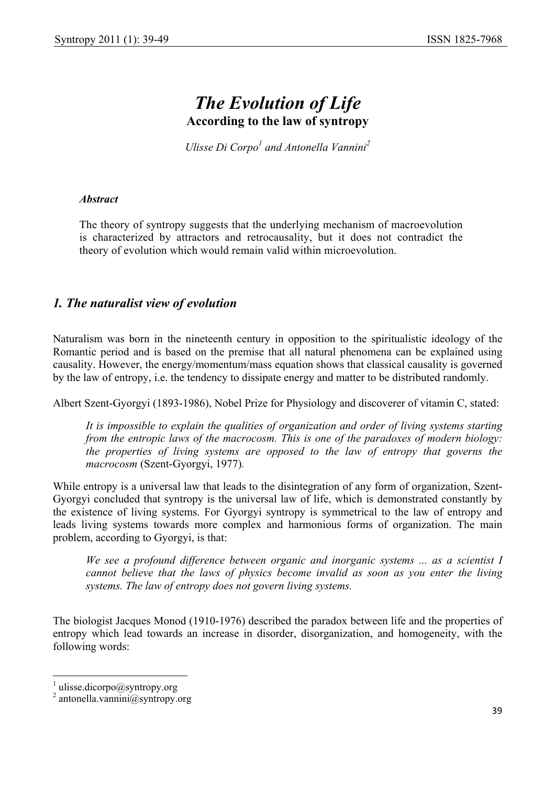# *The Evolution of Life*  **According to the law of syntropy**

*Ulisse Di Corpo<sup>1</sup> and Antonella Vannini<sup>2</sup>* 

#### *Abstract*

The theory of syntropy suggests that the underlying mechanism of macroevolution is characterized by attractors and retrocausality, but it does not contradict the theory of evolution which would remain valid within microevolution.

## *1. The naturalist view of evolution*

Naturalism was born in the nineteenth century in opposition to the spiritualistic ideology of the Romantic period and is based on the premise that all natural phenomena can be explained using causality. However, the energy/momentum/mass equation shows that classical causality is governed by the law of entropy, i.e. the tendency to dissipate energy and matter to be distributed randomly.

Albert Szent-Gyorgyi (1893-1986), Nobel Prize for Physiology and discoverer of vitamin C, stated:

*It is impossible to explain the qualities of organization and order of living systems starting from the entropic laws of the macrocosm. This is one of the paradoxes of modern biology: the properties of living systems are opposed to the law of entropy that governs the macrocosm* (Szent-Gyorgyi, 1977)*.* 

While entropy is a universal law that leads to the disintegration of any form of organization, Szent-Gyorgyi concluded that syntropy is the universal law of life, which is demonstrated constantly by the existence of living systems. For Gyorgyi syntropy is symmetrical to the law of entropy and leads living systems towards more complex and harmonious forms of organization. The main problem, according to Gyorgyi, is that:

*We see a profound difference between organic and inorganic systems ... as a scientist I cannot believe that the laws of physics become invalid as soon as you enter the living systems. The law of entropy does not govern living systems.* 

The biologist Jacques Monod (1910-1976) described the paradox between life and the properties of entropy which lead towards an increase in disorder, disorganization, and homogeneity, with the following words:

<sup>&</sup>lt;sup>1</sup> ulisse.dicorpo@syntropy.org<br><sup>2</sup> antonella.vannini@syntropy.org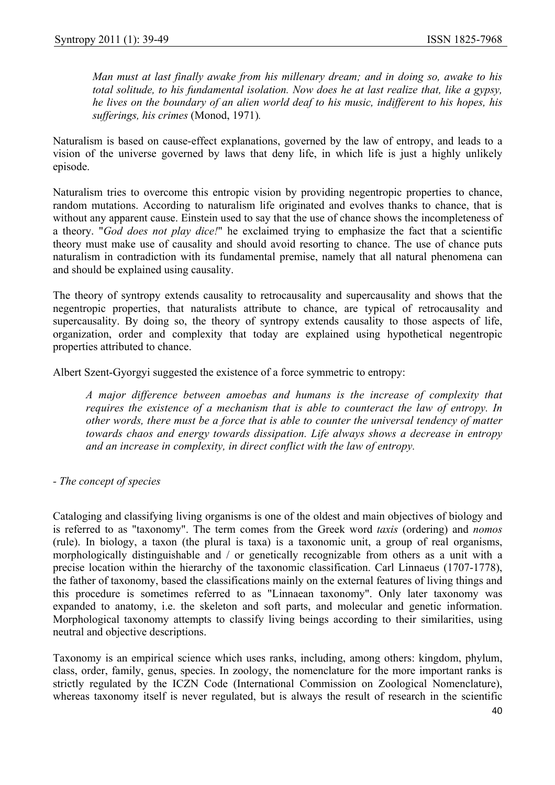*Man must at last finally awake from his millenary dream; and in doing so, awake to his total solitude, to his fundamental isolation. Now does he at last realize that, like a gypsy, he lives on the boundary of an alien world deaf to his music, indifferent to his hopes, his sufferings, his crimes* (Monod, 1971)*.*

Naturalism is based on cause-effect explanations, governed by the law of entropy, and leads to a vision of the universe governed by laws that deny life, in which life is just a highly unlikely episode.

Naturalism tries to overcome this entropic vision by providing negentropic properties to chance, random mutations. According to naturalism life originated and evolves thanks to chance, that is without any apparent cause. Einstein used to say that the use of chance shows the incompleteness of a theory. "*God does not play dice!*" he exclaimed trying to emphasize the fact that a scientific theory must make use of causality and should avoid resorting to chance. The use of chance puts naturalism in contradiction with its fundamental premise, namely that all natural phenomena can and should be explained using causality.

The theory of syntropy extends causality to retrocausality and supercausality and shows that the negentropic properties, that naturalists attribute to chance, are typical of retrocausality and supercausality. By doing so, the theory of syntropy extends causality to those aspects of life, organization, order and complexity that today are explained using hypothetical negentropic properties attributed to chance.

Albert Szent-Gyorgyi suggested the existence of a force symmetric to entropy:

*A major difference between amoebas and humans is the increase of complexity that requires the existence of a mechanism that is able to counteract the law of entropy. In other words, there must be a force that is able to counter the universal tendency of matter towards chaos and energy towards dissipation. Life always shows a decrease in entropy and an increase in complexity, in direct conflict with the law of entropy.*

*- The concept of species*

Cataloging and classifying living organisms is one of the oldest and main objectives of biology and is referred to as "taxonomy". The term comes from the Greek word *taxis* (ordering) and *nomos* (rule). In biology, a taxon (the plural is taxa) is a taxonomic unit, a group of real organisms, morphologically distinguishable and / or genetically recognizable from others as a unit with a precise location within the hierarchy of the taxonomic classification. Carl Linnaeus (1707-1778), the father of taxonomy, based the classifications mainly on the external features of living things and this procedure is sometimes referred to as "Linnaean taxonomy". Only later taxonomy was expanded to anatomy, i.e. the skeleton and soft parts, and molecular and genetic information. Morphological taxonomy attempts to classify living beings according to their similarities, using neutral and objective descriptions.

Taxonomy is an empirical science which uses ranks, including, among others: kingdom, phylum, class, order, family, genus, species. In zoology, the nomenclature for the more important ranks is strictly regulated by the ICZN Code (International Commission on Zoological Nomenclature), whereas taxonomy itself is never regulated, but is always the result of research in the scientific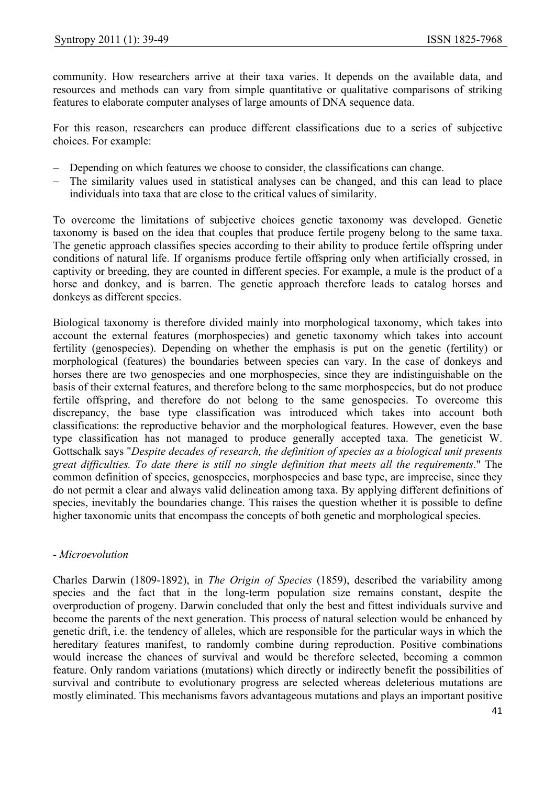community. How researchers arrive at their taxa varies. It depends on the available data, and resources and methods can vary from simple quantitative or qualitative comparisons of striking features to elaborate computer analyses of large amounts of DNA sequence data.

For this reason, researchers can produce different classifications due to a series of subjective choices. For example:

- − Depending on which features we choose to consider, the classifications can change.
- − The similarity values used in statistical analyses can be changed, and this can lead to place individuals into taxa that are close to the critical values of similarity.

To overcome the limitations of subjective choices genetic taxonomy was developed. Genetic taxonomy is based on the idea that couples that produce fertile progeny belong to the same taxa. The genetic approach classifies species according to their ability to produce fertile offspring under conditions of natural life. If organisms produce fertile offspring only when artificially crossed, in captivity or breeding, they are counted in different species. For example, a mule is the product of a horse and donkey, and is barren. The genetic approach therefore leads to catalog horses and donkeys as different species.

Biological taxonomy is therefore divided mainly into morphological taxonomy, which takes into account the external features (morphospecies) and genetic taxonomy which takes into account fertility (genospecies). Depending on whether the emphasis is put on the genetic (fertility) or morphological (features) the boundaries between species can vary. In the case of donkeys and horses there are two genospecies and one morphospecies, since they are indistinguishable on the basis of their external features, and therefore belong to the same morphospecies, but do not produce fertile offspring, and therefore do not belong to the same genospecies. To overcome this discrepancy, the base type classification was introduced which takes into account both classifications: the reproductive behavior and the morphological features. However, even the base type classification has not managed to produce generally accepted taxa. The geneticist W. Gottschalk says "*Despite decades of research, the definition of species as a biological unit presents great difficulties. To date there is still no single definition that meets all the requirements*." The common definition of species, genospecies, morphospecies and base type, are imprecise, since they do not permit a clear and always valid delineation among taxa. By applying different definitions of species, inevitably the boundaries change. This raises the question whether it is possible to define higher taxonomic units that encompass the concepts of both genetic and morphological species.

#### *- Microevolution*

Charles Darwin (1809-1892), in *The Origin of Species* (1859), described the variability among species and the fact that in the long-term population size remains constant, despite the overproduction of progeny. Darwin concluded that only the best and fittest individuals survive and become the parents of the next generation. This process of natural selection would be enhanced by genetic drift, i.e. the tendency of alleles, which are responsible for the particular ways in which the hereditary features manifest, to randomly combine during reproduction. Positive combinations would increase the chances of survival and would be therefore selected, becoming a common feature. Only random variations (mutations) which directly or indirectly benefit the possibilities of survival and contribute to evolutionary progress are selected whereas deleterious mutations are mostly eliminated. This mechanisms favors advantageous mutations and plays an important positive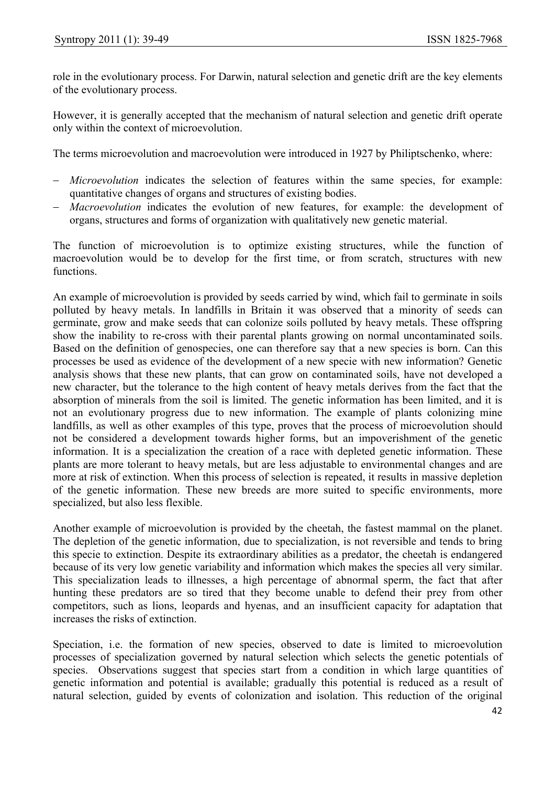role in the evolutionary process. For Darwin, natural selection and genetic drift are the key elements of the evolutionary process.

However, it is generally accepted that the mechanism of natural selection and genetic drift operate only within the context of microevolution.

The terms microevolution and macroevolution were introduced in 1927 by Philiptschenko, where:

- − *Microevolution* indicates the selection of features within the same species, for example: quantitative changes of organs and structures of existing bodies.
- − *Macroevolution* indicates the evolution of new features, for example: the development of organs, structures and forms of organization with qualitatively new genetic material.

The function of microevolution is to optimize existing structures, while the function of macroevolution would be to develop for the first time, or from scratch, structures with new functions.

An example of microevolution is provided by seeds carried by wind, which fail to germinate in soils polluted by heavy metals. In landfills in Britain it was observed that a minority of seeds can germinate, grow and make seeds that can colonize soils polluted by heavy metals. These offspring show the inability to re-cross with their parental plants growing on normal uncontaminated soils. Based on the definition of genospecies, one can therefore say that a new species is born. Can this processes be used as evidence of the development of a new specie with new information? Genetic analysis shows that these new plants, that can grow on contaminated soils, have not developed a new character, but the tolerance to the high content of heavy metals derives from the fact that the absorption of minerals from the soil is limited. The genetic information has been limited, and it is not an evolutionary progress due to new information. The example of plants colonizing mine landfills, as well as other examples of this type, proves that the process of microevolution should not be considered a development towards higher forms, but an impoverishment of the genetic information. It is a specialization the creation of a race with depleted genetic information. These plants are more tolerant to heavy metals, but are less adjustable to environmental changes and are more at risk of extinction. When this process of selection is repeated, it results in massive depletion of the genetic information. These new breeds are more suited to specific environments, more specialized, but also less flexible.

Another example of microevolution is provided by the cheetah, the fastest mammal on the planet. The depletion of the genetic information, due to specialization, is not reversible and tends to bring this specie to extinction. Despite its extraordinary abilities as a predator, the cheetah is endangered because of its very low genetic variability and information which makes the species all very similar. This specialization leads to illnesses, a high percentage of abnormal sperm, the fact that after hunting these predators are so tired that they become unable to defend their prey from other competitors, such as lions, leopards and hyenas, and an insufficient capacity for adaptation that increases the risks of extinction.

Speciation, i.e. the formation of new species, observed to date is limited to microevolution processes of specialization governed by natural selection which selects the genetic potentials of species. Observations suggest that species start from a condition in which large quantities of genetic information and potential is available; gradually this potential is reduced as a result of natural selection, guided by events of colonization and isolation. This reduction of the original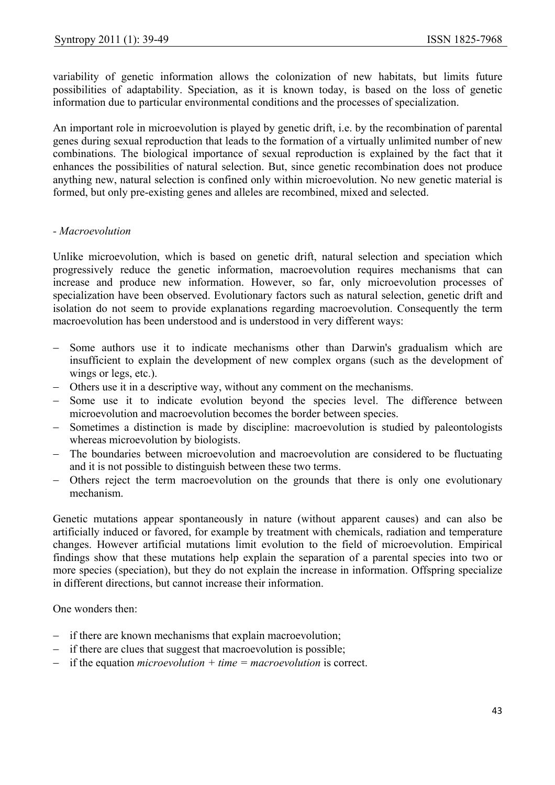variability of genetic information allows the colonization of new habitats, but limits future possibilities of adaptability. Speciation, as it is known today, is based on the loss of genetic information due to particular environmental conditions and the processes of specialization.

An important role in microevolution is played by genetic drift, i.e. by the recombination of parental genes during sexual reproduction that leads to the formation of a virtually unlimited number of new combinations. The biological importance of sexual reproduction is explained by the fact that it enhances the possibilities of natural selection. But, since genetic recombination does not produce anything new, natural selection is confined only within microevolution. No new genetic material is formed, but only pre-existing genes and alleles are recombined, mixed and selected.

#### *- Macroevolution*

Unlike microevolution, which is based on genetic drift, natural selection and speciation which progressively reduce the genetic information, macroevolution requires mechanisms that can increase and produce new information. However, so far, only microevolution processes of specialization have been observed. Evolutionary factors such as natural selection, genetic drift and isolation do not seem to provide explanations regarding macroevolution. Consequently the term macroevolution has been understood and is understood in very different ways:

- − Some authors use it to indicate mechanisms other than Darwin's gradualism which are insufficient to explain the development of new complex organs (such as the development of wings or legs, etc.).
- − Others use it in a descriptive way, without any comment on the mechanisms.
- − Some use it to indicate evolution beyond the species level. The difference between microevolution and macroevolution becomes the border between species.
- − Sometimes a distinction is made by discipline: macroevolution is studied by paleontologists whereas microevolution by biologists.
- − The boundaries between microevolution and macroevolution are considered to be fluctuating and it is not possible to distinguish between these two terms.
- Others reject the term macroevolution on the grounds that there is only one evolutionary mechanism.

Genetic mutations appear spontaneously in nature (without apparent causes) and can also be artificially induced or favored, for example by treatment with chemicals, radiation and temperature changes. However artificial mutations limit evolution to the field of microevolution. Empirical findings show that these mutations help explain the separation of a parental species into two or more species (speciation), but they do not explain the increase in information. Offspring specialize in different directions, but cannot increase their information.

One wonders then:

- − if there are known mechanisms that explain macroevolution;
- − if there are clues that suggest that macroevolution is possible;
- − if the equation *microevolution + time = macroevolution* is correct.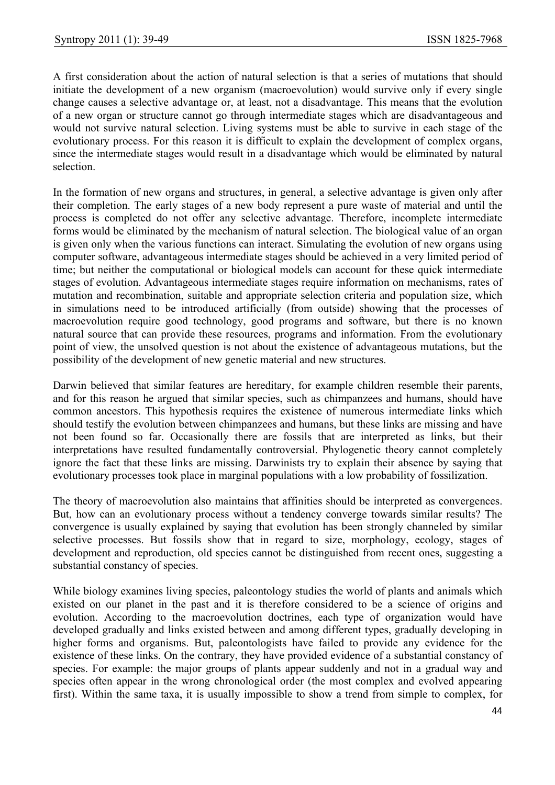A first consideration about the action of natural selection is that a series of mutations that should initiate the development of a new organism (macroevolution) would survive only if every single change causes a selective advantage or, at least, not a disadvantage. This means that the evolution of a new organ or structure cannot go through intermediate stages which are disadvantageous and would not survive natural selection. Living systems must be able to survive in each stage of the evolutionary process. For this reason it is difficult to explain the development of complex organs, since the intermediate stages would result in a disadvantage which would be eliminated by natural selection.

In the formation of new organs and structures, in general, a selective advantage is given only after their completion. The early stages of a new body represent a pure waste of material and until the process is completed do not offer any selective advantage. Therefore, incomplete intermediate forms would be eliminated by the mechanism of natural selection. The biological value of an organ is given only when the various functions can interact. Simulating the evolution of new organs using computer software, advantageous intermediate stages should be achieved in a very limited period of time; but neither the computational or biological models can account for these quick intermediate stages of evolution. Advantageous intermediate stages require information on mechanisms, rates of mutation and recombination, suitable and appropriate selection criteria and population size, which in simulations need to be introduced artificially (from outside) showing that the processes of macroevolution require good technology, good programs and software, but there is no known natural source that can provide these resources, programs and information. From the evolutionary point of view, the unsolved question is not about the existence of advantageous mutations, but the possibility of the development of new genetic material and new structures.

Darwin believed that similar features are hereditary, for example children resemble their parents, and for this reason he argued that similar species, such as chimpanzees and humans, should have common ancestors. This hypothesis requires the existence of numerous intermediate links which should testify the evolution between chimpanzees and humans, but these links are missing and have not been found so far. Occasionally there are fossils that are interpreted as links, but their interpretations have resulted fundamentally controversial. Phylogenetic theory cannot completely ignore the fact that these links are missing. Darwinists try to explain their absence by saying that evolutionary processes took place in marginal populations with a low probability of fossilization.

The theory of macroevolution also maintains that affinities should be interpreted as convergences. But, how can an evolutionary process without a tendency converge towards similar results? The convergence is usually explained by saying that evolution has been strongly channeled by similar selective processes. But fossils show that in regard to size, morphology, ecology, stages of development and reproduction, old species cannot be distinguished from recent ones, suggesting a substantial constancy of species.

While biology examines living species, paleontology studies the world of plants and animals which existed on our planet in the past and it is therefore considered to be a science of origins and evolution. According to the macroevolution doctrines, each type of organization would have developed gradually and links existed between and among different types, gradually developing in higher forms and organisms. But, paleontologists have failed to provide any evidence for the existence of these links. On the contrary, they have provided evidence of a substantial constancy of species. For example: the major groups of plants appear suddenly and not in a gradual way and species often appear in the wrong chronological order (the most complex and evolved appearing first). Within the same taxa, it is usually impossible to show a trend from simple to complex, for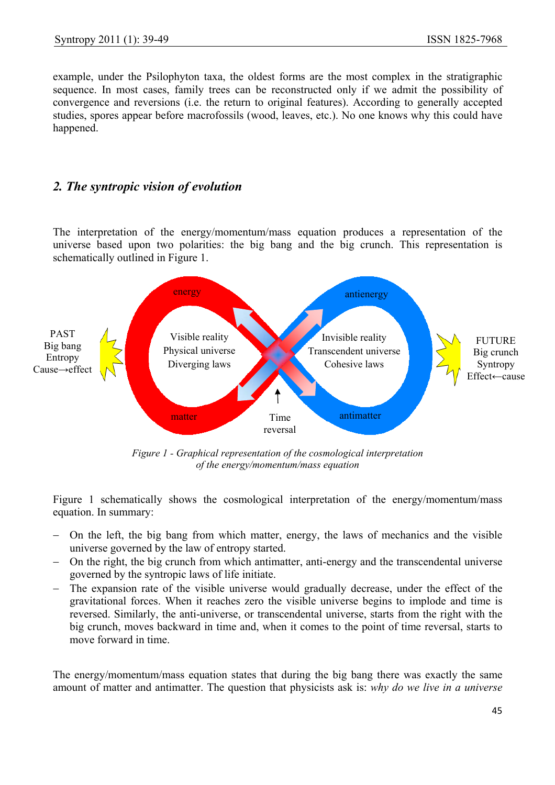example, under the Psilophyton taxa, the oldest forms are the most complex in the stratigraphic sequence. In most cases, family trees can be reconstructed only if we admit the possibility of convergence and reversions (i.e. the return to original features). According to generally accepted studies, spores appear before macrofossils (wood, leaves, etc.). No one knows why this could have happened.

## *2. The syntropic vision of evolution*

The interpretation of the energy/momentum/mass equation produces a representation of the universe based upon two polarities: the big bang and the big crunch. This representation is schematically outlined in Figure 1.



*Figure 1 - Graphical representation of the cosmological interpretation of the energy/momentum/mass equation*

Figure 1 schematically shows the cosmological interpretation of the energy/momentum/mass equation. In summary:

- − On the left, the big bang from which matter, energy, the laws of mechanics and the visible universe governed by the law of entropy started.
- − On the right, the big crunch from which antimatter, anti-energy and the transcendental universe governed by the syntropic laws of life initiate.
- − The expansion rate of the visible universe would gradually decrease, under the effect of the gravitational forces. When it reaches zero the visible universe begins to implode and time is reversed. Similarly, the anti-universe, or transcendental universe, starts from the right with the big crunch, moves backward in time and, when it comes to the point of time reversal, starts to move forward in time.

The energy/momentum/mass equation states that during the big bang there was exactly the same amount of matter and antimatter. The question that physicists ask is: *why do we live in a universe*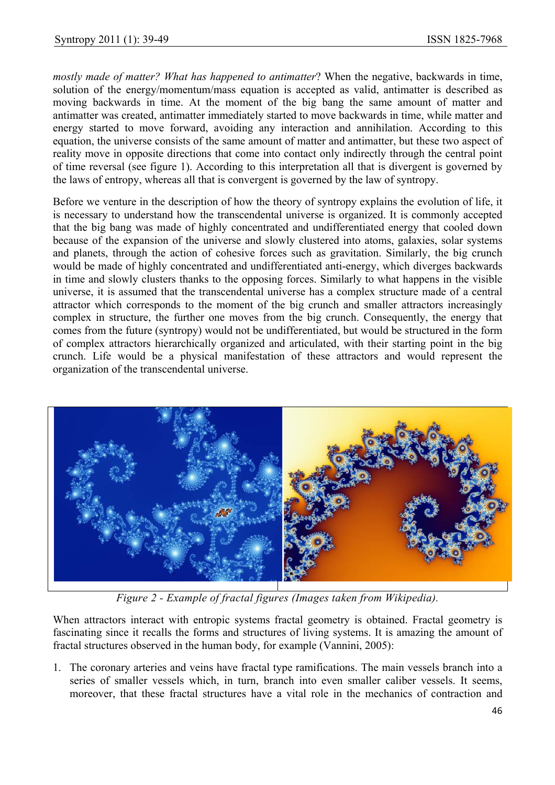*mostly made of matter? What has happened to antimatter*? When the negative, backwards in time, solution of the energy/momentum/mass equation is accepted as valid, antimatter is described as moving backwards in time. At the moment of the big bang the same amount of matter and antimatter was created, antimatter immediately started to move backwards in time, while matter and energy started to move forward, avoiding any interaction and annihilation. According to this equation, the universe consists of the same amount of matter and antimatter, but these two aspect of reality move in opposite directions that come into contact only indirectly through the central point of time reversal (see figure 1). According to this interpretation all that is divergent is governed by the laws of entropy, whereas all that is convergent is governed by the law of syntropy.

Before we venture in the description of how the theory of syntropy explains the evolution of life, it is necessary to understand how the transcendental universe is organized. It is commonly accepted that the big bang was made of highly concentrated and undifferentiated energy that cooled down because of the expansion of the universe and slowly clustered into atoms, galaxies, solar systems and planets, through the action of cohesive forces such as gravitation. Similarly, the big crunch would be made of highly concentrated and undifferentiated anti-energy, which diverges backwards in time and slowly clusters thanks to the opposing forces. Similarly to what happens in the visible universe, it is assumed that the transcendental universe has a complex structure made of a central attractor which corresponds to the moment of the big crunch and smaller attractors increasingly complex in structure, the further one moves from the big crunch. Consequently, the energy that comes from the future (syntropy) would not be undifferentiated, but would be structured in the form of complex attractors hierarchically organized and articulated, with their starting point in the big crunch. Life would be a physical manifestation of these attractors and would represent the organization of the transcendental universe.



*Figure 2 - Example of fractal figures (Images taken from Wikipedia).* 

When attractors interact with entropic systems fractal geometry is obtained. Fractal geometry is fascinating since it recalls the forms and structures of living systems. It is amazing the amount of fractal structures observed in the human body, for example (Vannini, 2005):

1. The coronary arteries and veins have fractal type ramifications. The main vessels branch into a series of smaller vessels which, in turn, branch into even smaller caliber vessels. It seems, moreover, that these fractal structures have a vital role in the mechanics of contraction and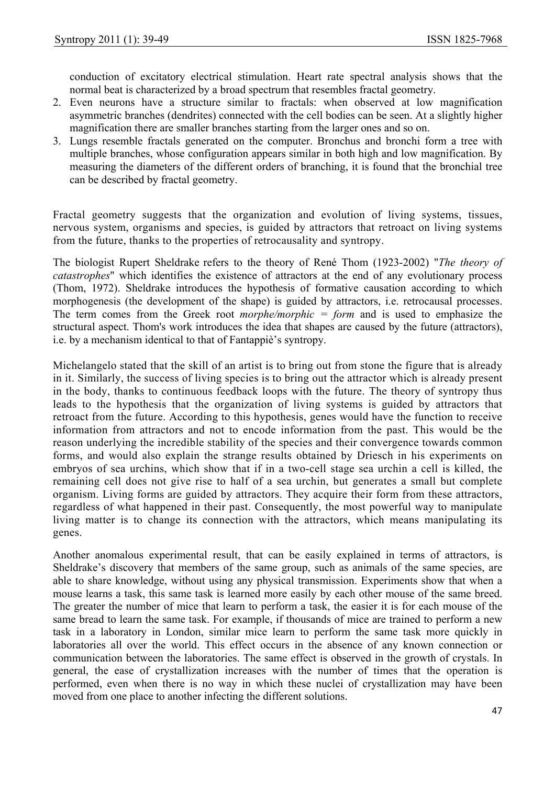conduction of excitatory electrical stimulation. Heart rate spectral analysis shows that the normal beat is characterized by a broad spectrum that resembles fractal geometry.

- 2. Even neurons have a structure similar to fractals: when observed at low magnification asymmetric branches (dendrites) connected with the cell bodies can be seen. At a slightly higher magnification there are smaller branches starting from the larger ones and so on.
- 3. Lungs resemble fractals generated on the computer. Bronchus and bronchi form a tree with multiple branches, whose configuration appears similar in both high and low magnification. By measuring the diameters of the different orders of branching, it is found that the bronchial tree can be described by fractal geometry.

Fractal geometry suggests that the organization and evolution of living systems, tissues, nervous system, organisms and species, is guided by attractors that retroact on living systems from the future, thanks to the properties of retrocausality and syntropy.

The biologist Rupert Sheldrake refers to the theory of René Thom (1923-2002) "*The theory of catastrophes*" which identifies the existence of attractors at the end of any evolutionary process (Thom, 1972). Sheldrake introduces the hypothesis of formative causation according to which morphogenesis (the development of the shape) is guided by attractors, i.e. retrocausal processes. The term comes from the Greek root *morphe/morphic = form* and is used to emphasize the structural aspect. Thom's work introduces the idea that shapes are caused by the future (attractors), i.e. by a mechanism identical to that of Fantappiè's syntropy.

Michelangelo stated that the skill of an artist is to bring out from stone the figure that is already in it. Similarly, the success of living species is to bring out the attractor which is already present in the body, thanks to continuous feedback loops with the future. The theory of syntropy thus leads to the hypothesis that the organization of living systems is guided by attractors that retroact from the future. According to this hypothesis, genes would have the function to receive information from attractors and not to encode information from the past. This would be the reason underlying the incredible stability of the species and their convergence towards common forms, and would also explain the strange results obtained by Driesch in his experiments on embryos of sea urchins, which show that if in a two-cell stage sea urchin a cell is killed, the remaining cell does not give rise to half of a sea urchin, but generates a small but complete organism. Living forms are guided by attractors. They acquire their form from these attractors, regardless of what happened in their past. Consequently, the most powerful way to manipulate living matter is to change its connection with the attractors, which means manipulating its genes.

Another anomalous experimental result, that can be easily explained in terms of attractors, is Sheldrake's discovery that members of the same group, such as animals of the same species, are able to share knowledge, without using any physical transmission. Experiments show that when a mouse learns a task, this same task is learned more easily by each other mouse of the same breed. The greater the number of mice that learn to perform a task, the easier it is for each mouse of the same bread to learn the same task. For example, if thousands of mice are trained to perform a new task in a laboratory in London, similar mice learn to perform the same task more quickly in laboratories all over the world. This effect occurs in the absence of any known connection or communication between the laboratories. The same effect is observed in the growth of crystals. In general, the ease of crystallization increases with the number of times that the operation is performed, even when there is no way in which these nuclei of crystallization may have been moved from one place to another infecting the different solutions.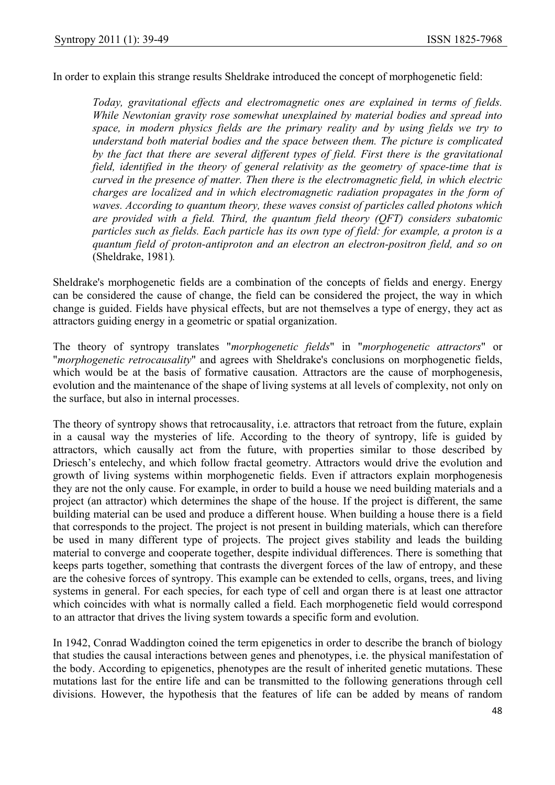In order to explain this strange results Sheldrake introduced the concept of morphogenetic field:

*Today, gravitational effects and electromagnetic ones are explained in terms of fields. While Newtonian gravity rose somewhat unexplained by material bodies and spread into space, in modern physics fields are the primary reality and by using fields we try to understand both material bodies and the space between them. The picture is complicated by the fact that there are several different types of field. First there is the gravitational field, identified in the theory of general relativity as the geometry of space-time that is curved in the presence of matter. Then there is the electromagnetic field, in which electric charges are localized and in which electromagnetic radiation propagates in the form of waves. According to quantum theory, these waves consist of particles called photons which are provided with a field. Third, the quantum field theory (QFT) considers subatomic particles such as fields. Each particle has its own type of field: for example, a proton is a quantum field of proton-antiproton and an electron an electron-positron field, and so on*  (Sheldrake, 1981)*.* 

Sheldrake's morphogenetic fields are a combination of the concepts of fields and energy. Energy can be considered the cause of change, the field can be considered the project, the way in which change is guided. Fields have physical effects, but are not themselves a type of energy, they act as attractors guiding energy in a geometric or spatial organization.

The theory of syntropy translates "*morphogenetic fields*" in "*morphogenetic attractors*" or "*morphogenetic retrocausality*" and agrees with Sheldrake's conclusions on morphogenetic fields, which would be at the basis of formative causation. Attractors are the cause of morphogenesis, evolution and the maintenance of the shape of living systems at all levels of complexity, not only on the surface, but also in internal processes.

The theory of syntropy shows that retrocausality, i.e. attractors that retroact from the future, explain in a causal way the mysteries of life. According to the theory of syntropy, life is guided by attractors, which causally act from the future, with properties similar to those described by Driesch's entelechy, and which follow fractal geometry. Attractors would drive the evolution and growth of living systems within morphogenetic fields. Even if attractors explain morphogenesis they are not the only cause. For example, in order to build a house we need building materials and a project (an attractor) which determines the shape of the house. If the project is different, the same building material can be used and produce a different house. When building a house there is a field that corresponds to the project. The project is not present in building materials, which can therefore be used in many different type of projects. The project gives stability and leads the building material to converge and cooperate together, despite individual differences. There is something that keeps parts together, something that contrasts the divergent forces of the law of entropy, and these are the cohesive forces of syntropy. This example can be extended to cells, organs, trees, and living systems in general. For each species, for each type of cell and organ there is at least one attractor which coincides with what is normally called a field. Each morphogenetic field would correspond to an attractor that drives the living system towards a specific form and evolution.

In 1942, Conrad Waddington coined the term epigenetics in order to describe the branch of biology that studies the causal interactions between genes and phenotypes, i.e. the physical manifestation of the body. According to epigenetics, phenotypes are the result of inherited genetic mutations. These mutations last for the entire life and can be transmitted to the following generations through cell divisions. However, the hypothesis that the features of life can be added by means of random